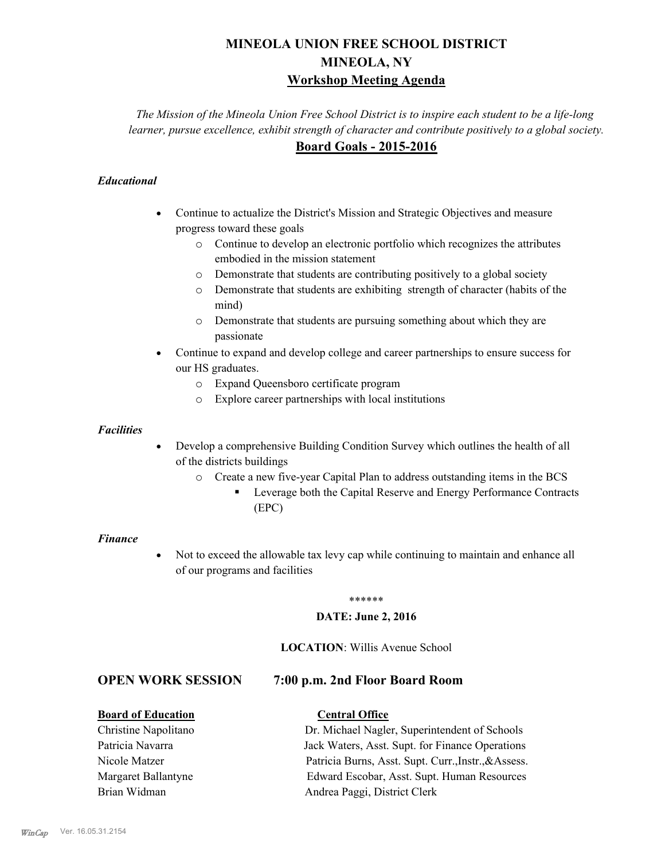# **MINEOLA UNION FREE SCHOOL DISTRICT MINEOLA, NY Workshop Meeting Agenda**

*The Mission of the Mineola Union Free School District is to inspire each student to be a life-long learner, pursue excellence, exhibit strength of character and contribute positively to a global society.* **Board Goals - 2015-2016**

## *Educational*

- · Continue to actualize the District's Mission and Strategic Objectives and measure progress toward these goals
	- o Continue to develop an electronic portfolio which recognizes the attributes embodied in the mission statement
	- o Demonstrate that students are contributing positively to a global society
	- o Demonstrate that students are exhibiting strength of character (habits of the mind)
	- o Demonstrate that students are pursuing something about which they are passionate
- Continue to expand and develop college and career partnerships to ensure success for our HS graduates.
	- o Expand Queensboro certificate program
	- o Explore career partnerships with local institutions

#### *Facilities*

- Develop a comprehensive Building Condition Survey which outlines the health of all of the districts buildings
	- o Create a new five-year Capital Plan to address outstanding items in the BCS
		- § Leverage both the Capital Reserve and Energy Performance Contracts (EPC)

#### *Finance*

• Not to exceed the allowable tax levy cap while continuing to maintain and enhance all of our programs and facilities

#### \*\*\*\*\*\*

#### **DATE: June 2, 2016**

#### **LOCATION**: Willis Avenue School

## **OPEN WORK SESSION 7:00 p.m. 2nd Floor Board Room**

## **Board of Education Central Office**

Christine Napolitano Dr. Michael Nagler, Superintendent of Schools Patricia Navarra Jack Waters, Asst. Supt. for Finance Operations Nicole Matzer Patricia Burns, Asst. Supt. Curr.,Instr.,&Assess. Margaret Ballantyne Edward Escobar, Asst. Supt. Human Resources Brian Widman **Andrea Paggi, District Clerk**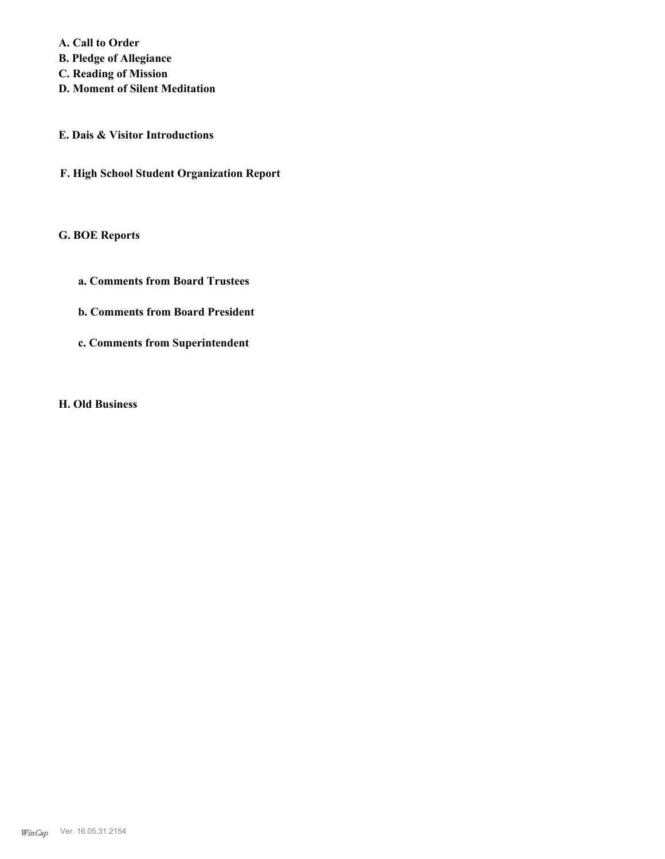**A. Call to Order** 

- **B. Pledge of Allegiance**
- **C. Reading of Mission**
- **D. Moment of Silent Meditation**
- **E. Dais & Visitor Introductions**
- **F. High School Student Organization Report**

# **G. BOE Reports**

- **a. Comments from Board Trustees**
- **b. Comments from Board President**
- **c. Comments from Superintendent**

#### **H. Old Business**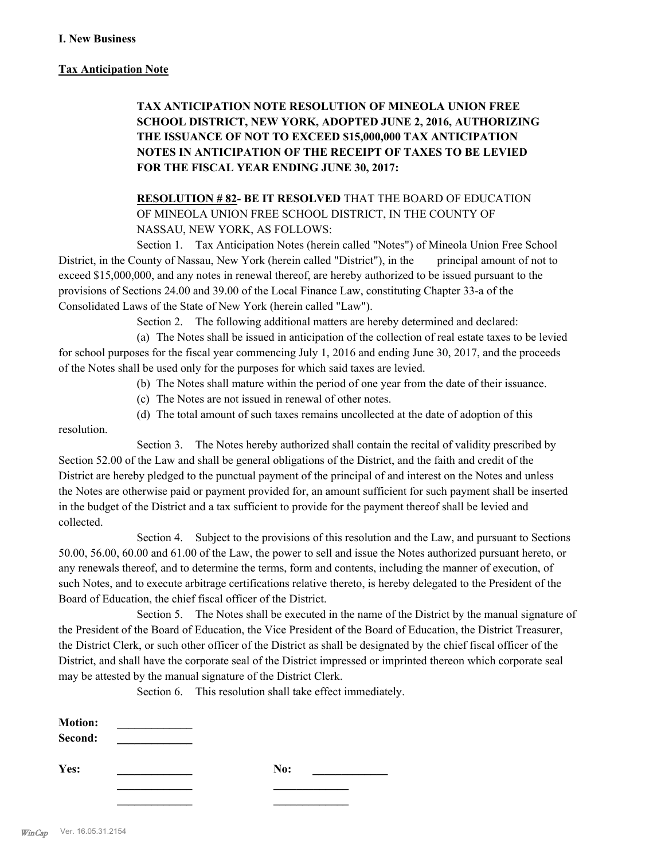## **Tax Anticipation Note**

# **TAX ANTICIPATION NOTE RESOLUTION OF MINEOLA UNION FREE SCHOOL DISTRICT, NEW YORK, ADOPTED JUNE 2, 2016, AUTHORIZING THE ISSUANCE OF NOT TO EXCEED \$15,000,000 TAX ANTICIPATION NOTES IN ANTICIPATION OF THE RECEIPT OF TAXES TO BE LEVIED FOR THE FISCAL YEAR ENDING JUNE 30, 2017:**

**RESOLUTION # 82- BE IT RESOLVED** THAT THE BOARD OF EDUCATION OF MINEOLA UNION FREE SCHOOL DISTRICT, IN THE COUNTY OF NASSAU, NEW YORK, AS FOLLOWS:

Section 1. Tax Anticipation Notes (herein called "Notes") of Mineola Union Free School District, in the County of Nassau, New York (herein called "District"), in the principal amount of not to exceed \$15,000,000, and any notes in renewal thereof, are hereby authorized to be issued pursuant to the provisions of Sections 24.00 and 39.00 of the Local Finance Law, constituting Chapter 33-a of the Consolidated Laws of the State of New York (herein called "Law").

Section 2. The following additional matters are hereby determined and declared:

(a) The Notes shall be issued in anticipation of the collection of real estate taxes to be levied for school purposes for the fiscal year commencing July 1, 2016 and ending June 30, 2017, and the proceeds of the Notes shall be used only for the purposes for which said taxes are levied.

- (b) The Notes shall mature within the period of one year from the date of their issuance.
- (c) The Notes are not issued in renewal of other notes.
- (d) The total amount of such taxes remains uncollected at the date of adoption of this

resolution.

Section 3. The Notes hereby authorized shall contain the recital of validity prescribed by Section 52.00 of the Law and shall be general obligations of the District, and the faith and credit of the District are hereby pledged to the punctual payment of the principal of and interest on the Notes and unless the Notes are otherwise paid or payment provided for, an amount sufficient for such payment shall be inserted in the budget of the District and a tax sufficient to provide for the payment thereof shall be levied and collected.

Section 4. Subject to the provisions of this resolution and the Law, and pursuant to Sections 50.00, 56.00, 60.00 and 61.00 of the Law, the power to sell and issue the Notes authorized pursuant hereto, or any renewals thereof, and to determine the terms, form and contents, including the manner of execution, of such Notes, and to execute arbitrage certifications relative thereto, is hereby delegated to the President of the Board of Education, the chief fiscal officer of the District.

Section 5. The Notes shall be executed in the name of the District by the manual signature of the President of the Board of Education, the Vice President of the Board of Education, the District Treasurer, the District Clerk, or such other officer of the District as shall be designated by the chief fiscal officer of the District, and shall have the corporate seal of the District impressed or imprinted thereon which corporate seal may be attested by the manual signature of the District Clerk.

Section 6. This resolution shall take effect immediately.

| <b>Motion:</b><br>Second: |  |     |  |
|---------------------------|--|-----|--|
| Yes:                      |  | No: |  |
|                           |  |     |  |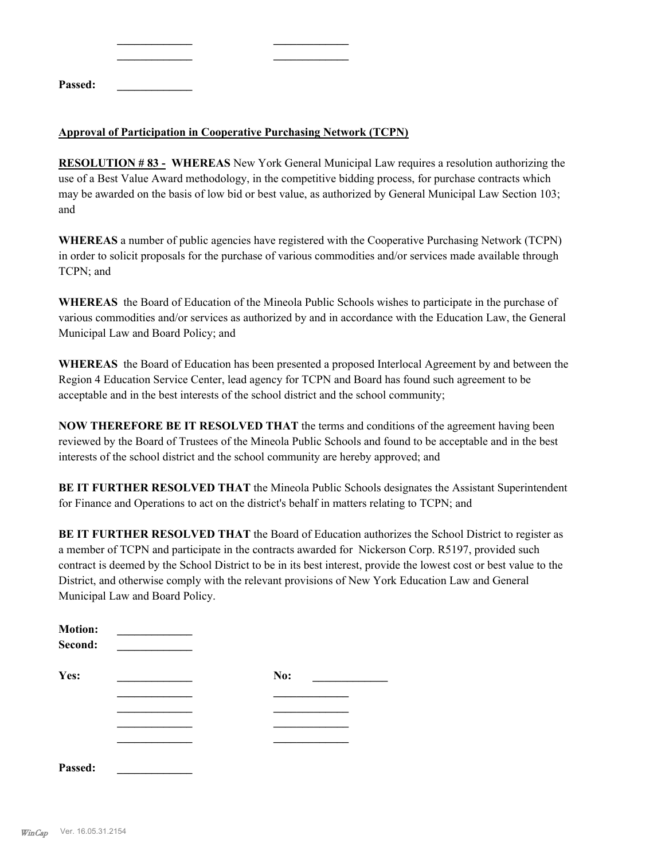| Passed: |  |  |  |
|---------|--|--|--|

## **Approval of Participation in Cooperative Purchasing Network (TCPN)**

**\_\_\_\_\_\_\_\_\_\_\_\_\_ \_\_\_\_\_\_\_\_\_\_\_\_\_**

**RESOLUTION # 83 - WHEREAS** New York General Municipal Law requires a resolution authorizing the use of a Best Value Award methodology, in the competitive bidding process, for purchase contracts which may be awarded on the basis of low bid or best value, as authorized by General Municipal Law Section 103; and

**WHEREAS** a number of public agencies have registered with the Cooperative Purchasing Network (TCPN) in order to solicit proposals for the purchase of various commodities and/or services made available through TCPN; and

**WHEREAS** the Board of Education of the Mineola Public Schools wishes to participate in the purchase of various commodities and/or services as authorized by and in accordance with the Education Law, the General Municipal Law and Board Policy; and

**WHEREAS** the Board of Education has been presented a proposed Interlocal Agreement by and between the Region 4 Education Service Center, lead agency for TCPN and Board has found such agreement to be acceptable and in the best interests of the school district and the school community;

**NOW THEREFORE BE IT RESOLVED THAT** the terms and conditions of the agreement having been reviewed by the Board of Trustees of the Mineola Public Schools and found to be acceptable and in the best interests of the school district and the school community are hereby approved; and

**BE IT FURTHER RESOLVED THAT** the Mineola Public Schools designates the Assistant Superintendent for Finance and Operations to act on the district's behalf in matters relating to TCPN; and

**BE IT FURTHER RESOLVED THAT** the Board of Education authorizes the School District to register as a member of TCPN and participate in the contracts awarded for Nickerson Corp. R5197, provided such contract is deemed by the School District to be in its best interest, provide the lowest cost or best value to the District, and otherwise comply with the relevant provisions of New York Education Law and General Municipal Law and Board Policy.

| <b>Motion:</b><br>Second: |     |
|---------------------------|-----|
| Yes:                      | No: |
|                           |     |
|                           |     |
|                           |     |
|                           |     |
| Passed:                   |     |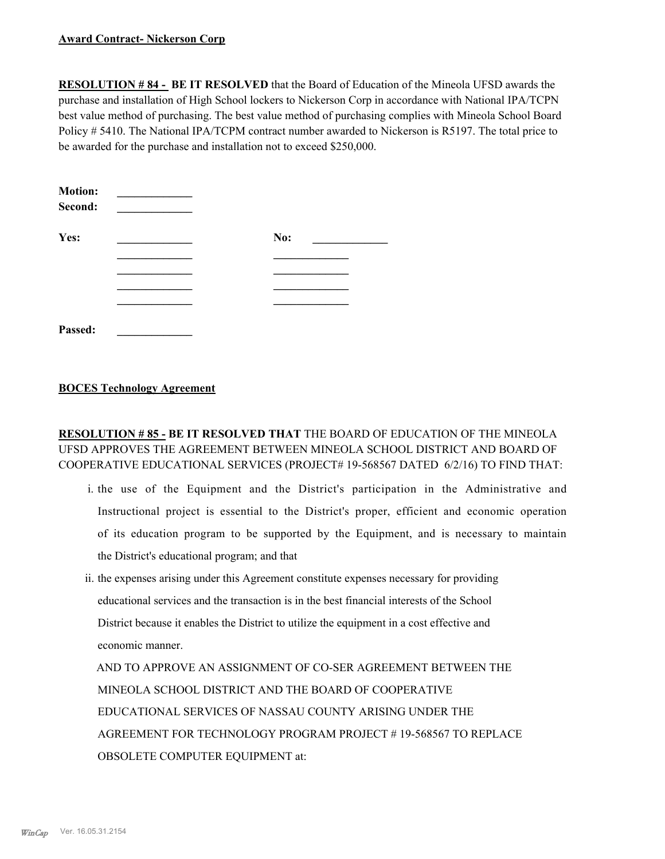#### **Award Contract- Nickerson Corp**

**RESOLUTION # 84 - BE IT RESOLVED** that the Board of Education of the Mineola UFSD awards the purchase and installation of High School lockers to Nickerson Corp in accordance with National IPA/TCPN best value method of purchasing. The best value method of purchasing complies with Mineola School Board Policy # 5410. The National IPA/TCPM contract number awarded to Nickerson is R5197. The total price to be awarded for the purchase and installation not to exceed \$250,000.

| <b>Motion:</b><br>Second: |     |
|---------------------------|-----|
| Yes:                      | No: |
|                           |     |
|                           |     |
|                           |     |
|                           |     |
| Passed:                   |     |

## **BOCES Technology Agreement**

## **RESOLUTION # 85 - BE IT RESOLVED THAT** THE BOARD OF EDUCATION OF THE MINEOLA UFSD APPROVES THE AGREEMENT BETWEEN MINEOLA SCHOOL DISTRICT AND BOARD OF COOPERATIVE EDUCATIONAL SERVICES (PROJECT# 19-568567 DATED 6/2/16) TO FIND THAT:

- i. the use of the Equipment and the District's participation in the Administrative and Instructional project is essential to the District's proper, efficient and economic operation of its education program to be supported by the Equipment, and is necessary to maintain the District's educational program; and that
- ii. the expenses arising under this Agreement constitute expenses necessary for providing educational services and the transaction is in the best financial interests of the School District because it enables the District to utilize the equipment in a cost effective and economic manner.

 AND TO APPROVE AN ASSIGNMENT OF CO-SER AGREEMENT BETWEEN THE MINEOLA SCHOOL DISTRICT AND THE BOARD OF COOPERATIVE EDUCATIONAL SERVICES OF NASSAU COUNTY ARISING UNDER THE AGREEMENT FOR TECHNOLOGY PROGRAM PROJECT # 19-568567 TO REPLACE OBSOLETE COMPUTER EQUIPMENT at: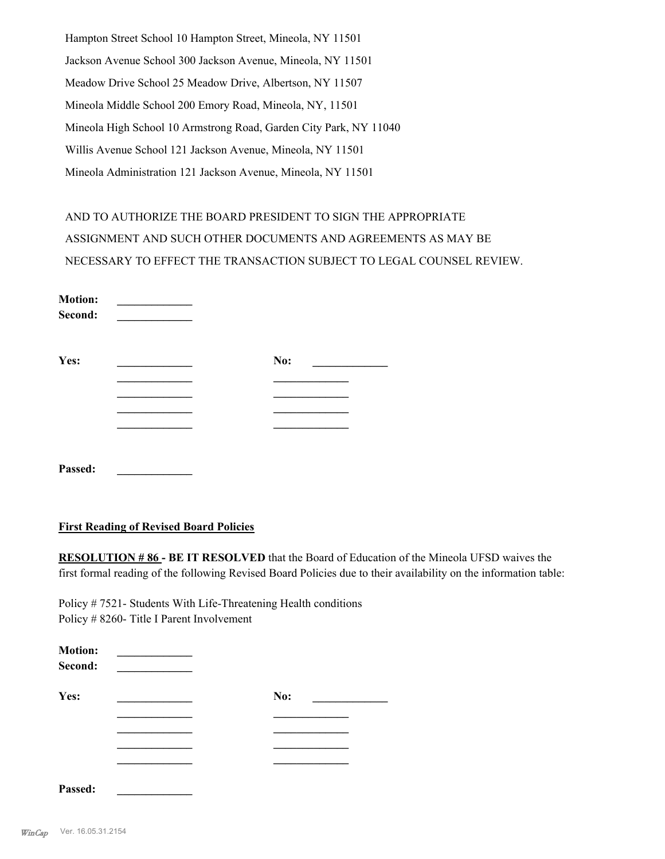Hampton Street School 10 Hampton Street, Mineola, NY 11501 Jackson Avenue School 300 Jackson Avenue, Mineola, NY 11501 Meadow Drive School 25 Meadow Drive, Albertson, NY 11507 Mineola Middle School 200 Emory Road, Mineola, NY, 11501 Mineola High School 10 Armstrong Road, Garden City Park, NY 11040 Willis Avenue School 121 Jackson Avenue, Mineola, NY 11501 Mineola Administration 121 Jackson Avenue, Mineola, NY 11501

AND TO AUTHORIZE THE BOARD PRESIDENT TO SIGN THE APPROPRIATE ASSIGNMENT AND SUCH OTHER DOCUMENTS AND AGREEMENTS AS MAY BE NECESSARY TO EFFECT THE TRANSACTION SUBJECT TO LEGAL COUNSEL REVIEW.

| <b>Motion:</b><br>Second: |     |  |
|---------------------------|-----|--|
| Yes:                      | No: |  |
|                           |     |  |
|                           |     |  |
|                           |     |  |
| Passed:                   |     |  |

#### **First Reading of Revised Board Policies**

**RESOLUTION # 86 - BE IT RESOLVED** that the Board of Education of the Mineola UFSD waives the first formal reading of the following Revised Board Policies due to their availability on the information table:

Policy # 7521- Students With Life-Threatening Health conditions Policy # 8260- Title I Parent Involvement

| <b>Motion:</b><br>Second: |     |
|---------------------------|-----|
| Yes:                      | No: |
|                           |     |
|                           |     |
| Passed:                   |     |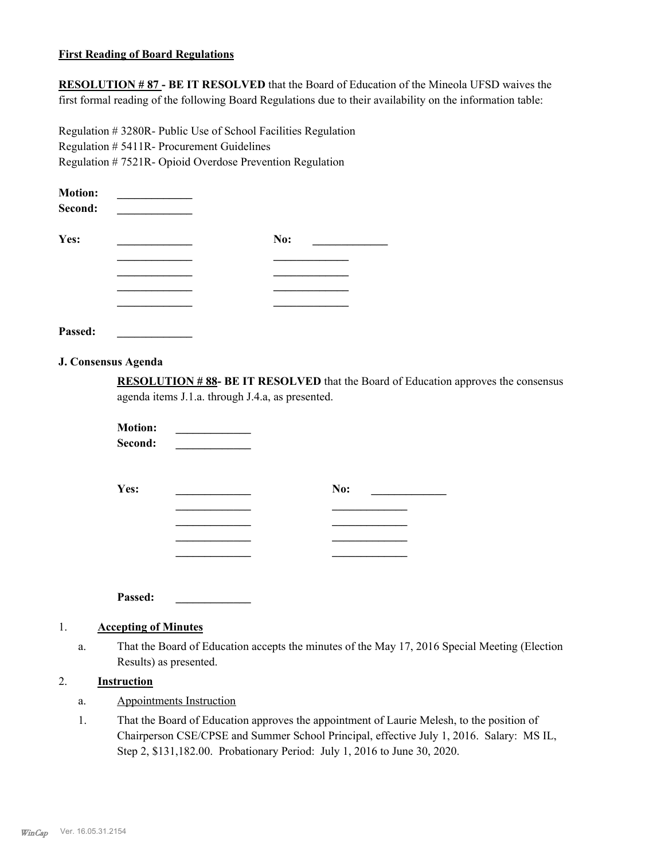#### **First Reading of Board Regulations**

**RESOLUTION # 87 - BE IT RESOLVED** that the Board of Education of the Mineola UFSD waives the first formal reading of the following Board Regulations due to their availability on the information table:

Regulation # 3280R- Public Use of School Facilities Regulation Regulation # 5411R- Procurement Guidelines Regulation # 7521R- Opioid Overdose Prevention Regulation

| <b>Motion:</b><br>Second: |     |  |
|---------------------------|-----|--|
| Yes:                      | No: |  |
|                           |     |  |
|                           |     |  |
|                           |     |  |
|                           |     |  |
| Passed:                   |     |  |

#### **J. Consensus Agenda**

**RESOLUTION # 88- BE IT RESOLVED** that the Board of Education approves the consensus agenda items J.1.a. through J.4.a, as presented.

**Motion: \_\_\_\_\_\_\_\_\_\_\_\_\_**   $Second:$ **Yes: No:** <u>\_\_\_\_\_\_\_\_\_\_</u> **No:**  $\qquad \qquad$ **\_\_\_\_\_\_\_\_\_\_\_\_\_ \_\_\_\_\_\_\_\_\_\_\_\_\_ \_\_\_\_\_\_\_\_\_\_\_\_\_ \_\_\_\_\_\_\_\_\_\_\_\_\_ \_\_\_\_\_\_\_\_\_\_\_\_\_ \_\_\_\_\_\_\_\_\_\_\_\_\_ \_\_\_\_\_\_\_\_\_\_\_\_\_ \_\_\_\_\_\_\_\_\_\_\_\_\_**

**Passed: \_\_\_\_\_\_\_\_\_\_\_\_\_**

## 1. **Accepting of Minutes**

That the Board of Education accepts the minutes of the May 17, 2016 Special Meeting (Election Results) as presented. a.

## 2. **Instruction**

- a. Appointments Instruction
- That the Board of Education approves the appointment of Laurie Melesh, to the position of Chairperson CSE/CPSE and Summer School Principal, effective July 1, 2016. Salary: MS IL, Step 2, \$131,182.00. Probationary Period: July 1, 2016 to June 30, 2020. 1.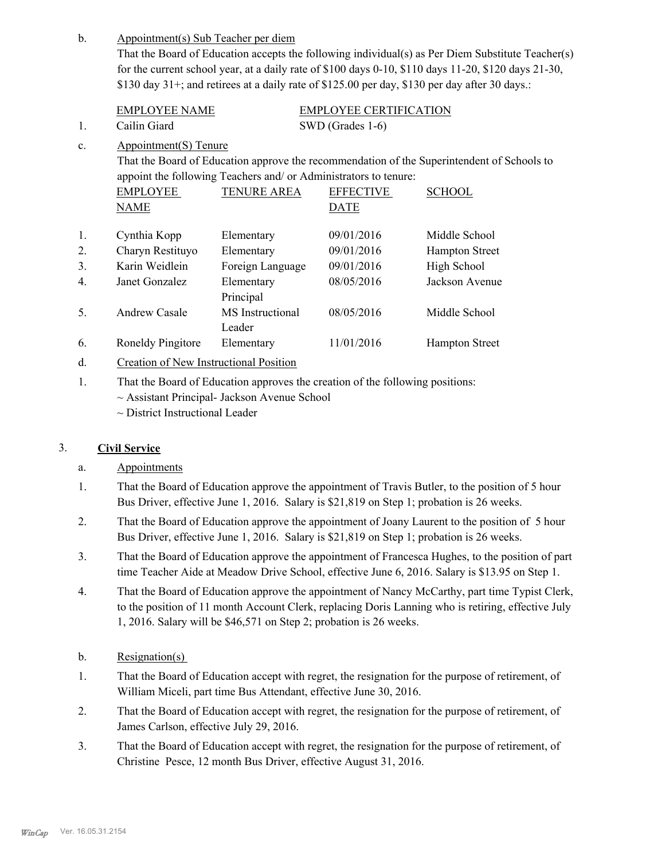| $\mathbf b$ . | Appointment(s) Sub Teacher per diem                                                                              |                                                                  |                        |                                                                                                |
|---------------|------------------------------------------------------------------------------------------------------------------|------------------------------------------------------------------|------------------------|------------------------------------------------------------------------------------------------|
|               | That the Board of Education accepts the following individual(s) as Per Diem Substitute Teacher(s)                |                                                                  |                        |                                                                                                |
|               | for the current school year, at a daily rate of $$100$ days $0-10$ , $$110$ days $11-20$ , $$120$ days $21-30$ , |                                                                  |                        |                                                                                                |
|               |                                                                                                                  |                                                                  |                        | \$130 day 31+; and retirees at a daily rate of \$125.00 per day, \$130 per day after 30 days.: |
|               | <b>EMPLOYEE NAME</b>                                                                                             |                                                                  | EMPLOYEE CERTIFICATION |                                                                                                |
| 1.            | Cailin Giard                                                                                                     |                                                                  | SWD (Grades 1-6)       |                                                                                                |
| c.            | Appointment(S) Tenure                                                                                            |                                                                  |                        |                                                                                                |
|               |                                                                                                                  |                                                                  |                        | That the Board of Education approve the recommendation of the Superintendent of Schools to     |
|               |                                                                                                                  | appoint the following Teachers and/ or Administrators to tenure: |                        |                                                                                                |
|               | <b>EMPLOYEE</b>                                                                                                  | <b>TENURE AREA</b>                                               | <b>EFFECTIVE</b>       | <b>SCHOOL</b>                                                                                  |
|               | <b>NAME</b>                                                                                                      |                                                                  | <b>DATE</b>            |                                                                                                |
| 1.            | Cynthia Kopp                                                                                                     | Elementary                                                       | 09/01/2016             | Middle School                                                                                  |
| 2.            | Charyn Restituyo                                                                                                 | Elementary                                                       | 09/01/2016             | <b>Hampton Street</b>                                                                          |
| 3.            | Karin Weidlein                                                                                                   | Foreign Language                                                 | 09/01/2016             | High School                                                                                    |
| 4.            | Janet Gonzalez                                                                                                   | Elementary                                                       | 08/05/2016             | Jackson Avenue                                                                                 |
|               |                                                                                                                  | Principal                                                        |                        |                                                                                                |
| 5.            | <b>Andrew Casale</b>                                                                                             | MS Instructional                                                 | 08/05/2016             | Middle School                                                                                  |
|               |                                                                                                                  | Leader                                                           |                        |                                                                                                |
| 6.            | Roneldy Pingitore                                                                                                | Elementary                                                       | 11/01/2016             | <b>Hampton Street</b>                                                                          |
| d.            | Creation of New Instructional Position                                                                           |                                                                  |                        |                                                                                                |
|               | That the Board of Education approves the creation of the following positions:                                    |                                                                  |                        |                                                                                                |

That the Board of Education approves the creation of the following positions:

 $\sim$  Assistant Principal- Jackson Avenue School

~ District Instructional Leader

## 3. **Civil Service**

## a. Appointments

- That the Board of Education approve the appointment of Travis Butler, to the position of 5 hour Bus Driver, effective June 1, 2016. Salary is \$21,819 on Step 1; probation is 26 weeks. 1.
- That the Board of Education approve the appointment of Joany Laurent to the position of 5 hour Bus Driver, effective June 1, 2016. Salary is \$21,819 on Step 1; probation is 26 weeks. 2.
- That the Board of Education approve the appointment of Francesca Hughes, to the position of part time Teacher Aide at Meadow Drive School, effective June 6, 2016. Salary is \$13.95 on Step 1. 3.
- That the Board of Education approve the appointment of Nancy McCarthy, part time Typist Clerk, to the position of 11 month Account Clerk, replacing Doris Lanning who is retiring, effective July 1, 2016. Salary will be \$46,571 on Step 2; probation is 26 weeks. 4.
- b. Resignation(s)
- That the Board of Education accept with regret, the resignation for the purpose of retirement, of William Miceli, part time Bus Attendant, effective June 30, 2016. 1.
- That the Board of Education accept with regret, the resignation for the purpose of retirement, of James Carlson, effective July 29, 2016. 2.
- That the Board of Education accept with regret, the resignation for the purpose of retirement, of Christine Pesce, 12 month Bus Driver, effective August 31, 2016. 3.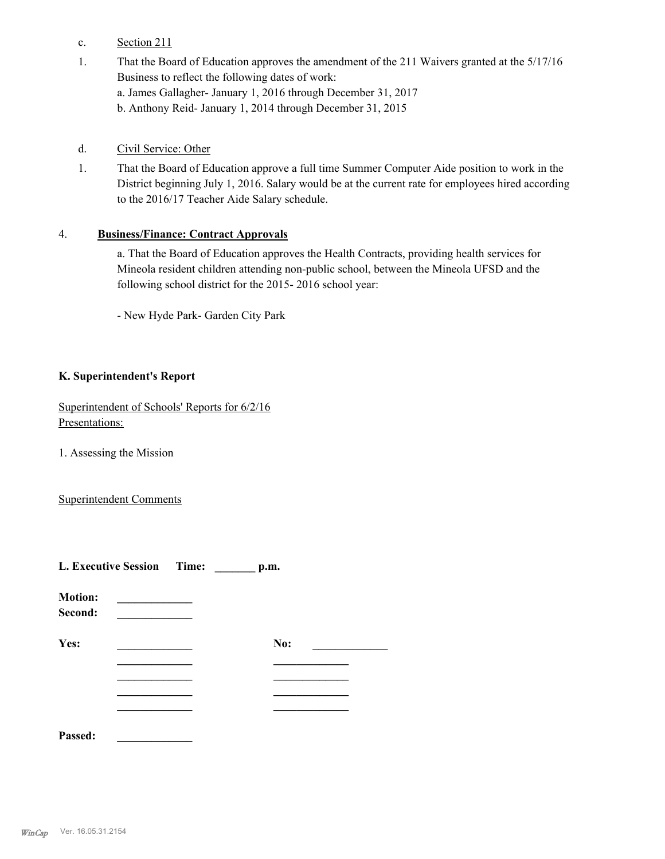- c. Section 211
- That the Board of Education approves the amendment of the 211 Waivers granted at the 5/17/16 Business to reflect the following dates of work: a. James Gallagher- January 1, 2016 through December 31, 2017 b. Anthony Reid- January 1, 2014 through December 31, 2015 1.
- d. Civil Service: Other
- That the Board of Education approve a full time Summer Computer Aide position to work in the District beginning July 1, 2016. Salary would be at the current rate for employees hired according to the 2016/17 Teacher Aide Salary schedule. 1.

### 4. **Business/Finance: Contract Approvals**

a. That the Board of Education approves the Health Contracts, providing health services for Mineola resident children attending non-public school, between the Mineola UFSD and the following school district for the 2015- 2016 school year:

- New Hyde Park- Garden City Park

## **K. Superintendent's Report**

Superintendent of Schools' Reports for 6/2/16 Presentations:

1. Assessing the Mission

Superintendent Comments

|                           | L. Executive Session Time: |  | p.m. |  |
|---------------------------|----------------------------|--|------|--|
| <b>Motion:</b><br>Second: |                            |  |      |  |
| Yes:                      |                            |  | No:  |  |
|                           |                            |  |      |  |
|                           |                            |  |      |  |
|                           |                            |  |      |  |
| Passed:                   |                            |  |      |  |